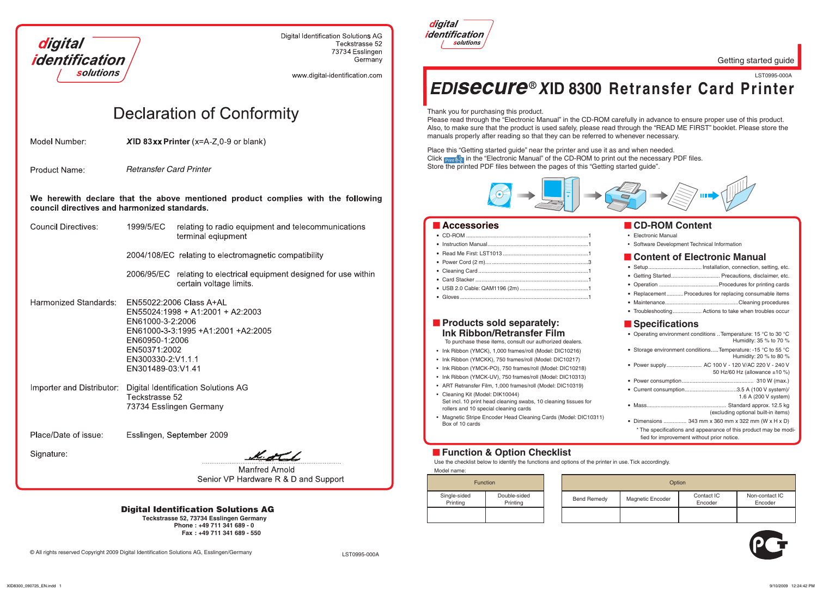

**Digital Identification Solutions AG** Teckstrasse 52 73734 Esslingen Germany

www.digital-identification.com

# **Declaration of Conformity**

Model Number:  $XID$  83xx Printer (x=A-Z 0-9 or blank) Getting started guide

### **Products sold separately: Ink Ribbon/Retransfer Film**

- Ink Ribbon (YMCK), 1,000 frames/roll (Model: DIC10216)
- Ink Ribbon (YMCKK), 750 frames/roll (Model: DIC10217)
- Ink Ribbon (YMCK-PO), 750 frames/roll (Model: DIC10218)
- Ink Ribbon (YMCK-UV), 750 frames/roll (Model: DIC10313)
- ART Retransfer Film, 1,000 frames/roll (Model: DIC10319) Cleaning Kit (Model: DIK10044) •
- Set incl. 10 print head cleaning swabs, 10 cleaning tissues for rollers and 10 special cleaning cards
- Magnetic Stripe Encoder Head Cleaning Cards (Model: DIC10311) Box of 10 cards

### **Function & Option Checklist**

To purchase these items, consult our authorized dealers.

| <b>Function</b>          |                          |                    | Option                  |  |
|--------------------------|--------------------------|--------------------|-------------------------|--|
| Single-sided<br>Printing | Double-sided<br>Printing | <b>Bend Remedy</b> | <b>Magnetic Encoder</b> |  |
|                          |                          |                    |                         |  |

Model name: Use the checklist below to identify the functions and options of the printer in use. Tick accordingly.

**Product Name:** *Retransfer Card Printer*

We herewith declare that the above mentioned product complies with the following council directives and harmonized standards.

| <b>Council Directives:</b> | 1999/5/EC                                                                                    | relating to radio equipment and telecommunications<br>terminal eqiupment                          |
|----------------------------|----------------------------------------------------------------------------------------------|---------------------------------------------------------------------------------------------------|
|                            |                                                                                              | 2004/108/EC relating to electromagnetic compatibility                                             |
|                            | 2006/95/EC                                                                                   | relating to electrical equipment designed for use within<br>certain voltage limits.               |
| Harmonized Standards:      | EN61000-3-2:2006<br>EN60950-1:2006<br>EN50371:2002<br>EN300330-2:V1.1.1<br>EN301489-03:V1.41 | EN55022:2006 Class A+AL<br>EN55024:1998 + A1:2001 + A2:2003<br>EN61000-3-3:1995 +A1:2001 +A2:2005 |
| Importer and Distributor:  | Teckstrasse 52                                                                               | <b>Digital Identification Solutions AG</b><br>73734 Esslingen Germany                             |
| Place/Date of issue:       |                                                                                              | Esslingen, September 2009                                                                         |
| Signature:                 |                                                                                              |                                                                                                   |
|                            |                                                                                              | Manfred Arnold                                                                                    |

Manfred Arnold Senior VP Hardware R & D and Support Thank you for purchasing this product.

Please read through the "Electronic Manual" in the CD-ROM carefully in advance to ensure proper use of this product. Also, to make sure that the product is used safely, please read through the "READ ME FIRST" booklet. Please store the manuals properly after reading so that they can be referred to whenever necessary.

LST0995-000A *X***ID 8300 Retransfer Card Printer**

## **CD-ROM Content**

- Electronic Manual
- Software Development Technical Information

## **E** Content of Electronic Manual

- ......... Installation, connection, setting, etc.  $\bullet$  Setup...
- ... Precautions, disclaimer, etc. • Getting Started.....
- ..Procedures for printing cards • Operation ........
- Replacement........... Procedures for replacing consumable items
- ..Cleaning procedures • Maintenance........

## • Troubleshooting................... Actions to take when troubles occur

| Specifications                                                                                                 |
|----------------------------------------------------------------------------------------------------------------|
| • Operating environment conditions . Temperature: 15 °C to 30 °C<br>Humidity: 35 % to 70 %                     |
| • Storage environment conditionsTemperature: -15 °C to 55 °C<br>Humidity: 20 % to 80 %                         |
| • Power supply  AC 100 V - 120 V/AC 220 V - 240 V<br>50 Hz/60 Hz (allowance $\pm$ 10 %)                        |
|                                                                                                                |
| • Current consumption3.5 A (100 V system)/<br>1.6 A (200 V system)                                             |
| (excluding optional built-in items)                                                                            |
| • Dimensions  343 mm x 360 mm x 322 mm (W x H x D)                                                             |
| * The specifications and appearance of this product may be modi-<br>fied for improvement without prior notice. |

Place this "Getting started guide" near the printer and use it as and when needed. Click **Print in** in the "Electronic Manual" of the CD-ROM to print out the necessary PDF files. Store the printed PDF files between the pages of this "Getting started guide".



## $\blacksquare$  Accessories

|                        |                    | Option                  |                       |                           |
|------------------------|--------------------|-------------------------|-----------------------|---------------------------|
| uble-sided<br>Printing | <b>Bend Remedy</b> | <b>Magnetic Encoder</b> | Contact IC<br>Encoder | Non-contact IC<br>Encoder |
|                        |                    |                         |                       |                           |



### Digital Identification Solutions AG

**Teckstrasse 52, 73734 Esslingen Germany Phone : +49 711 341 689 - 0 Fax : +49 711 341 689 - 550**